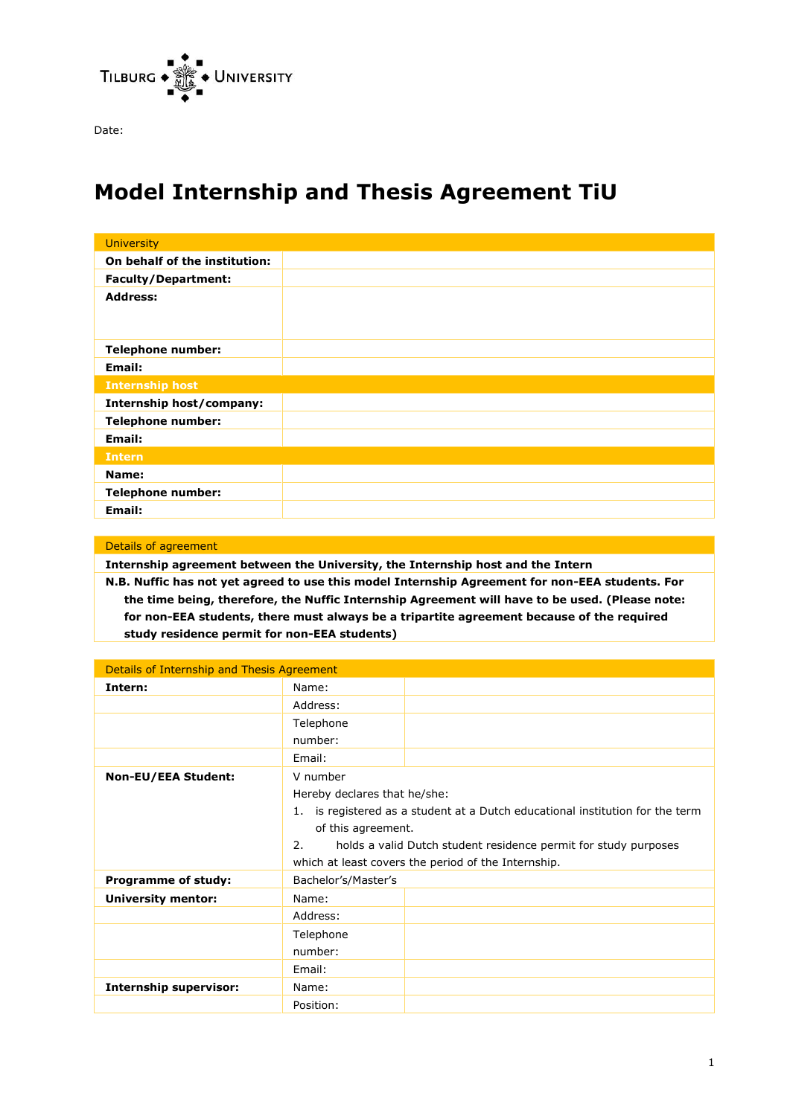

Date:

# **Model Internship and Thesis Agreement TiU**

| <b>University</b>               |  |
|---------------------------------|--|
| On behalf of the institution:   |  |
| <b>Faculty/Department:</b>      |  |
| <b>Address:</b>                 |  |
| <b>Telephone number:</b>        |  |
| Email:                          |  |
| <b>Internship host</b>          |  |
| <b>Internship host/company:</b> |  |
| <b>Telephone number:</b>        |  |
| Email:                          |  |
| <b>Intern</b>                   |  |
| Name:                           |  |
| <b>Telephone number:</b>        |  |
| <b>Email:</b>                   |  |

Details of agreement **Internship agreement between the University, the Internship host and the Intern N.B. Nuffic has not yet agreed to use this model Internship Agreement for non-EEA students. For the time being, therefore, the Nuffic Internship Agreement will have to be used. (Please note: for non-EEA students, there must always be a tripartite agreement because of the required study residence permit for non-EEA students)**

| Details of Internship and Thesis Agreement |                                                                               |                                                     |  |  |
|--------------------------------------------|-------------------------------------------------------------------------------|-----------------------------------------------------|--|--|
| Intern:                                    | Name:                                                                         |                                                     |  |  |
|                                            | Address:                                                                      |                                                     |  |  |
|                                            | Telephone                                                                     |                                                     |  |  |
|                                            | number:                                                                       |                                                     |  |  |
|                                            | Email:                                                                        |                                                     |  |  |
| <b>Non-EU/EEA Student:</b>                 | V number                                                                      |                                                     |  |  |
|                                            | Hereby declares that he/she:                                                  |                                                     |  |  |
|                                            | 1. is registered as a student at a Dutch educational institution for the term |                                                     |  |  |
|                                            | of this agreement.                                                            |                                                     |  |  |
|                                            | 2.<br>holds a valid Dutch student residence permit for study purposes         |                                                     |  |  |
|                                            |                                                                               | which at least covers the period of the Internship. |  |  |
| <b>Programme of study:</b>                 | Bachelor's/Master's                                                           |                                                     |  |  |
| <b>University mentor:</b>                  | Name:                                                                         |                                                     |  |  |
|                                            | Address:                                                                      |                                                     |  |  |
|                                            | Telephone                                                                     |                                                     |  |  |
|                                            | number:                                                                       |                                                     |  |  |
|                                            | Email:                                                                        |                                                     |  |  |
| <b>Internship supervisor:</b>              | Name:                                                                         |                                                     |  |  |
|                                            | Position:                                                                     |                                                     |  |  |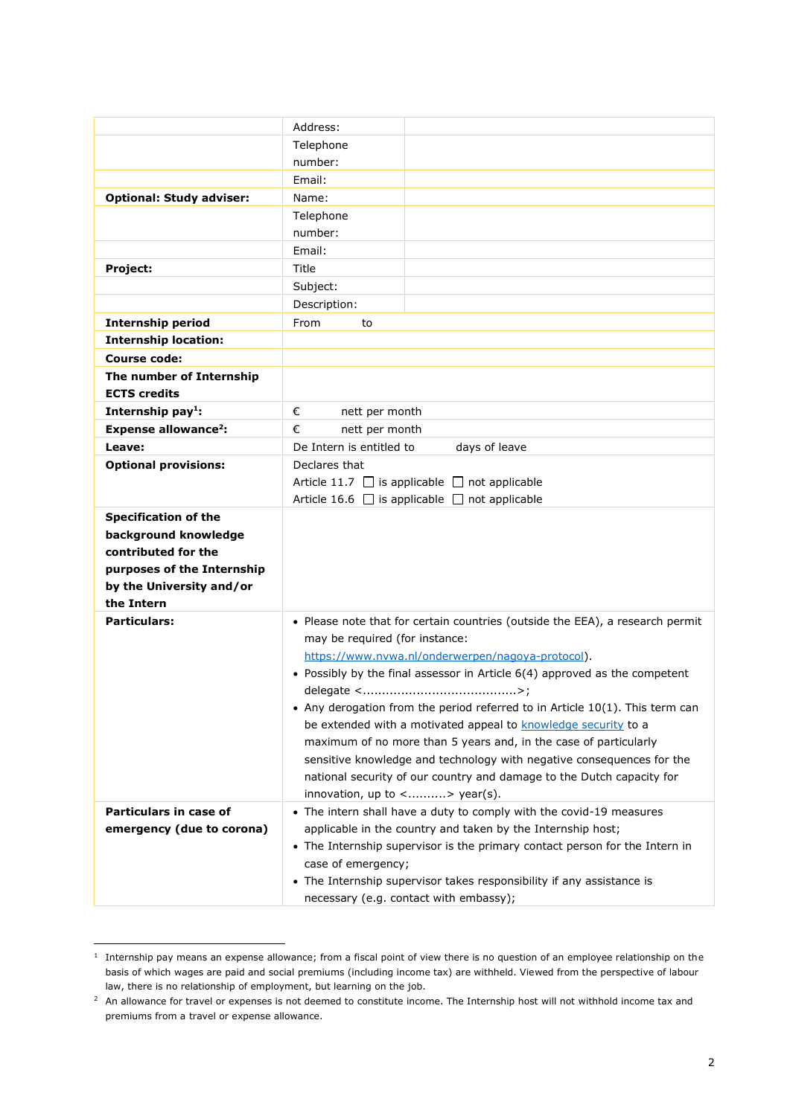|                                       | Address:                                                                                                                            |  |  |
|---------------------------------------|-------------------------------------------------------------------------------------------------------------------------------------|--|--|
|                                       | Telephone                                                                                                                           |  |  |
|                                       | number:                                                                                                                             |  |  |
|                                       | Email:                                                                                                                              |  |  |
| <b>Optional: Study adviser:</b>       | Name:                                                                                                                               |  |  |
|                                       | Telephone                                                                                                                           |  |  |
|                                       | number:                                                                                                                             |  |  |
|                                       | Email:                                                                                                                              |  |  |
| Project:                              | Title                                                                                                                               |  |  |
|                                       | Subject:                                                                                                                            |  |  |
|                                       | Description:                                                                                                                        |  |  |
| <b>Internship period</b>              | From<br>to                                                                                                                          |  |  |
| <b>Internship location:</b>           |                                                                                                                                     |  |  |
| <b>Course code:</b>                   |                                                                                                                                     |  |  |
| The number of Internship              |                                                                                                                                     |  |  |
| <b>ECTS credits</b>                   |                                                                                                                                     |  |  |
| Internship pay <sup>1</sup> :         | €<br>nett per month                                                                                                                 |  |  |
| <b>Expense allowance<sup>2</sup>:</b> | €<br>nett per month                                                                                                                 |  |  |
| Leave:                                | De Intern is entitled to<br>days of leave                                                                                           |  |  |
| <b>Optional provisions:</b>           | Declares that<br>Article 11.7 $\Box$ is applicable $\Box$ not applicable<br>Article 16.6 $\Box$ is applicable $\Box$ not applicable |  |  |
|                                       |                                                                                                                                     |  |  |
|                                       |                                                                                                                                     |  |  |
| <b>Specification of the</b>           |                                                                                                                                     |  |  |
| background knowledge                  |                                                                                                                                     |  |  |
| contributed for the                   |                                                                                                                                     |  |  |
| purposes of the Internship            |                                                                                                                                     |  |  |
| by the University and/or              |                                                                                                                                     |  |  |
| the Intern                            |                                                                                                                                     |  |  |
| <b>Particulars:</b>                   | • Please note that for certain countries (outside the EEA), a research permit                                                       |  |  |
|                                       | may be required (for instance:                                                                                                      |  |  |
|                                       | https://www.nvwa.nl/onderwerpen/nagoya-protocol).                                                                                   |  |  |
|                                       | • Possibly by the final assessor in Article 6(4) approved as the competent                                                          |  |  |
|                                       |                                                                                                                                     |  |  |
|                                       | Any derogation from the period referred to in Article 10(1). This term can                                                          |  |  |
|                                       | be extended with a motivated appeal to knowledge security to a                                                                      |  |  |
|                                       | maximum of no more than 5 years and, in the case of particularly                                                                    |  |  |
|                                       | sensitive knowledge and technology with negative consequences for the                                                               |  |  |
|                                       | national security of our country and damage to the Dutch capacity for                                                               |  |  |
|                                       | innovation, up to <> year(s).                                                                                                       |  |  |
| Particulars in case of                | • The intern shall have a duty to comply with the covid-19 measures                                                                 |  |  |
| emergency (due to corona)             | applicable in the country and taken by the Internship host;                                                                         |  |  |
|                                       | • The Internship supervisor is the primary contact person for the Intern in<br>case of emergency;                                   |  |  |
|                                       | • The Internship supervisor takes responsibility if any assistance is                                                               |  |  |
|                                       |                                                                                                                                     |  |  |
|                                       | necessary (e.g. contact with embassy);                                                                                              |  |  |

 $<sup>1</sup>$  Internship pay means an expense allowance; from a fiscal point of view there is no question of an employee relationship on the</sup> basis of which wages are paid and social premiums (including income tax) are withheld. Viewed from the perspective of labour law, there is no relationship of employment, but learning on the job.

<sup>&</sup>lt;sup>2</sup> An allowance for travel or expenses is not deemed to constitute income. The Internship host will not withhold income tax and premiums from a travel or expense allowance.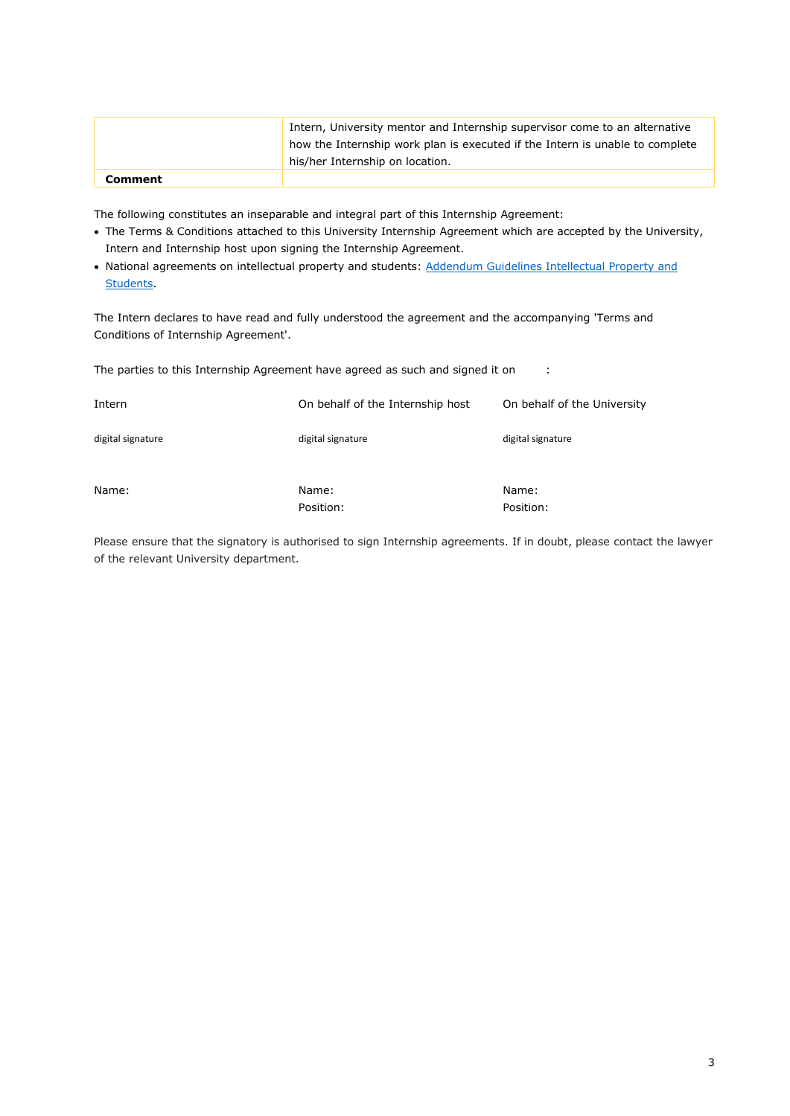|                | Intern, University mentor and Internship supervisor come to an alternative<br>how the Internship work plan is executed if the Intern is unable to complete |
|----------------|------------------------------------------------------------------------------------------------------------------------------------------------------------|
|                | his/her Internship on location.                                                                                                                            |
| <b>Comment</b> |                                                                                                                                                            |

The following constitutes an inseparable and integral part of this Internship Agreement:

- The Terms & Conditions attached to this University Internship Agreement which are accepted by the University, Intern and Internship host upon signing the Internship Agreement.
- National agreements on intellectual property and students[: Addendum Guidelines Intellectual Property and](https://vsnu.nl/files/documenten/Domeinen/Onderzoek/Valorisatie/Eindversie%20Addendum%20Richtsnoer%20IER%20en%20studenten.pdf)  [Students.](https://vsnu.nl/files/documenten/Domeinen/Onderzoek/Valorisatie/Eindversie%20Addendum%20Richtsnoer%20IER%20en%20studenten.pdf)

The Intern declares to have read and fully understood the agreement and the accompanying 'Terms and Conditions of Internship Agreement'.

The parties to this Internship Agreement have agreed as such and signed it on :

| Intern            | On behalf of the Internship host | On behalf of the University |
|-------------------|----------------------------------|-----------------------------|
| digital signature | digital signature                | digital signature           |
| Name:             | Name:<br>Position:               | Name:<br>Position:          |

Please ensure that the signatory is authorised to sign Internship agreements. If in doubt, please contact the lawyer of the relevant University department.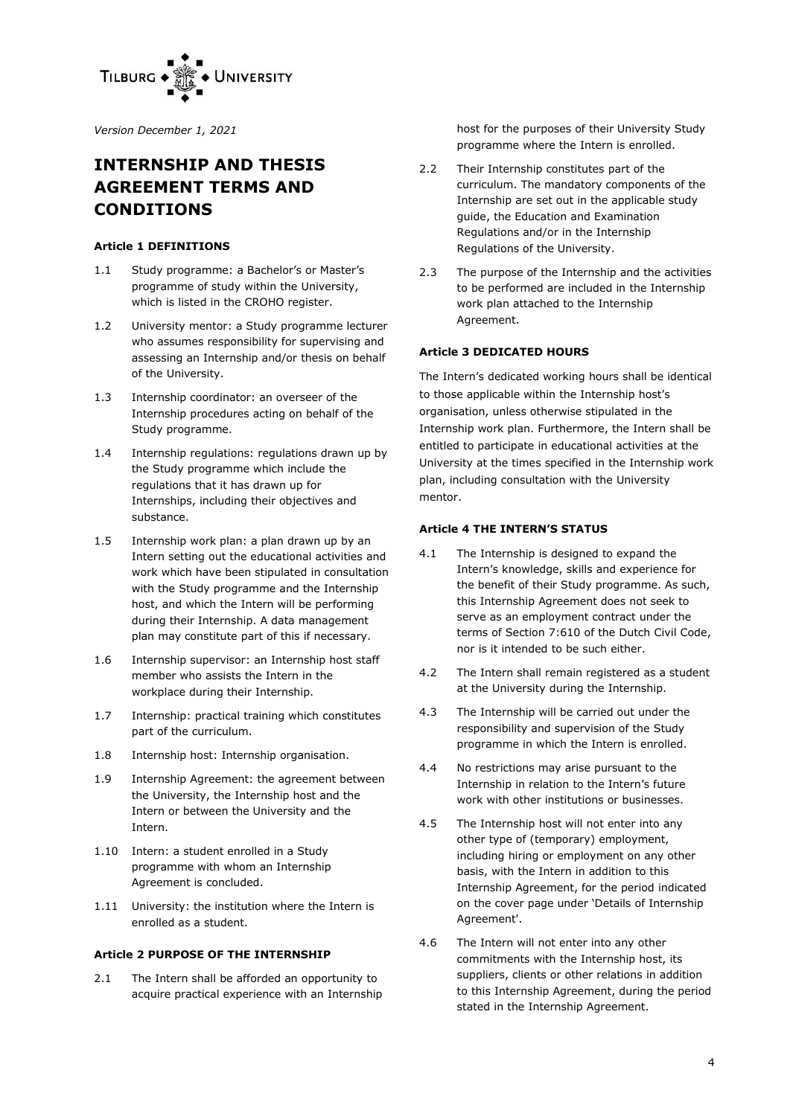

*Version December 1, 2021*

# **INTERNSHIP AND THESIS AGREEMENT TERMS AND CONDITIONS**

#### **Article 1 DEFINITIONS**

- 1.1 Study programme: a Bachelor's or Master's programme of study within the University, which is listed in the CROHO register.
- 1.2 University mentor: a Study programme lecturer who assumes responsibility for supervising and assessing an Internship and/or thesis on behalf of the University.
- 1.3 Internship coordinator: an overseer of the Internship procedures acting on behalf of the Study programme.
- 1.4 Internship regulations: regulations drawn up by the Study programme which include the regulations that it has drawn up for Internships, including their objectives and substance.
- 1.5 Internship work plan: a plan drawn up by an Intern setting out the educational activities and work which have been stipulated in consultation with the Study programme and the Internship host, and which the Intern will be performing during their Internship. A data management plan may constitute part of this if necessary.
- 1.6 Internship supervisor: an Internship host staff member who assists the Intern in the workplace during their Internship.
- 1.7 Internship: practical training which constitutes part of the curriculum.
- 1.8 Internship host: Internship organisation.
- 1.9 Internship Agreement: the agreement between the University, the Internship host and the Intern or between the University and the Intern.
- 1.10 Intern: a student enrolled in a Study programme with whom an Internship Agreement is concluded.
- 1.11 University: the institution where the Intern is enrolled as a student.

# **Article 2 PURPOSE OF THE INTERNSHIP**

2.1 The Intern shall be afforded an opportunity to acquire practical experience with an Internship host for the purposes of their University Study programme where the Intern is enrolled.

- 2.2 Their Internship constitutes part of the curriculum. The mandatory components of the Internship are set out in the applicable study guide, the Education and Examination Regulations and/or in the Internship Regulations of the University.
- 2.3 The purpose of the Internship and the activities to be performed are included in the Internship work plan attached to the Internship Agreement.

# **Article 3 DEDICATED HOURS**

The Intern's dedicated working hours shall be identical to those applicable within the Internship host's organisation, unless otherwise stipulated in the Internship work plan. Furthermore, the Intern shall be entitled to participate in educational activities at the University at the times specified in the Internship work plan, including consultation with the University mentor.

## **Article 4 THE INTERN'S STATUS**

- 4.1 The Internship is designed to expand the Intern's knowledge, skills and experience for the benefit of their Study programme. As such, this Internship Agreement does not seek to serve as an employment contract under the terms of Section 7:610 of the Dutch Civil Code, nor is it intended to be such either.
- 4.2 The Intern shall remain registered as a student at the University during the Internship.
- 4.3 The Internship will be carried out under the responsibility and supervision of the Study programme in which the Intern is enrolled.
- 4.4 No restrictions may arise pursuant to the Internship in relation to the Intern's future work with other institutions or businesses.
- 4.5 The Internship host will not enter into any other type of (temporary) employment, including hiring or employment on any other basis, with the Intern in addition to this Internship Agreement, for the period indicated on the cover page under 'Details of Internship Agreement'.
- 4.6 The Intern will not enter into any other commitments with the Internship host, its suppliers, clients or other relations in addition to this Internship Agreement, during the period stated in the Internship Agreement.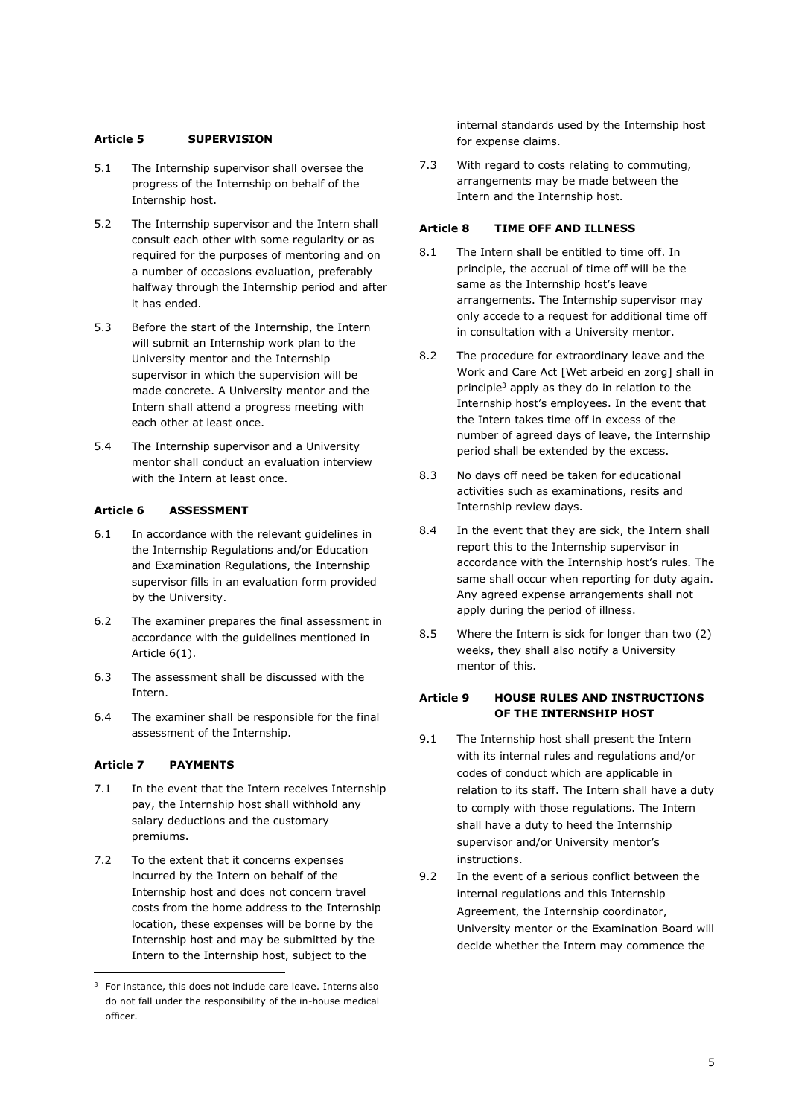#### **Article 5 SUPERVISION**

- 5.1 The Internship supervisor shall oversee the progress of the Internship on behalf of the Internship host.
- 5.2 The Internship supervisor and the Intern shall consult each other with some regularity or as required for the purposes of mentoring and on a number of occasions evaluation, preferably halfway through the Internship period and after it has ended.
- 5.3 Before the start of the Internship, the Intern will submit an Internship work plan to the University mentor and the Internship supervisor in which the supervision will be made concrete. A University mentor and the Intern shall attend a progress meeting with each other at least once.
- 5.4 The Internship supervisor and a University mentor shall conduct an evaluation interview with the Intern at least once.

## **Article 6 ASSESSMENT**

- 6.1 In accordance with the relevant guidelines in the Internship Regulations and/or Education and Examination Regulations, the Internship supervisor fills in an evaluation form provided by the University.
- 6.2 The examiner prepares the final assessment in accordance with the guidelines mentioned in Article 6(1).
- 6.3 The assessment shall be discussed with the Intern.
- 6.4 The examiner shall be responsible for the final assessment of the Internship.

# **Article 7 PAYMENTS**

- 7.1 In the event that the Intern receives Internship pay, the Internship host shall withhold any salary deductions and the customary premiums.
- 7.2 To the extent that it concerns expenses incurred by the Intern on behalf of the Internship host and does not concern travel costs from the home address to the Internship location, these expenses will be borne by the Internship host and may be submitted by the Intern to the Internship host, subject to the

internal standards used by the Internship host for expense claims.

7.3 With regard to costs relating to commuting, arrangements may be made between the Intern and the Internship host.

# **Article 8 TIME OFF AND ILLNESS**

- 8.1 The Intern shall be entitled to time off. In principle, the accrual of time off will be the same as the Internship host's leave arrangements. The Internship supervisor may only accede to a request for additional time off in consultation with a University mentor.
- 8.2 The procedure for extraordinary leave and the Work and Care Act [Wet arbeid en zorg] shall in principle<sup>3</sup> apply as they do in relation to the Internship host's employees. In the event that the Intern takes time off in excess of the number of agreed days of leave, the Internship period shall be extended by the excess.
- 8.3 No days off need be taken for educational activities such as examinations, resits and Internship review days.
- 8.4 In the event that they are sick, the Intern shall report this to the Internship supervisor in accordance with the Internship host's rules. The same shall occur when reporting for duty again. Any agreed expense arrangements shall not apply during the period of illness.
- 8.5 Where the Intern is sick for longer than two (2) weeks, they shall also notify a University mentor of this.

# **Article 9 HOUSE RULES AND INSTRUCTIONS OF THE INTERNSHIP HOST**

- 9.1 The Internship host shall present the Intern with its internal rules and regulations and/or codes of conduct which are applicable in relation to its staff. The Intern shall have a duty to comply with those regulations. The Intern shall have a duty to heed the Internship supervisor and/or University mentor's instructions.
- 9.2 In the event of a serious conflict between the internal regulations and this Internship Agreement, the Internship coordinator, University mentor or the Examination Board will decide whether the Intern may commence the

 $3$  For instance, this does not include care leave. Interns also do not fall under the responsibility of the in-house medical officer.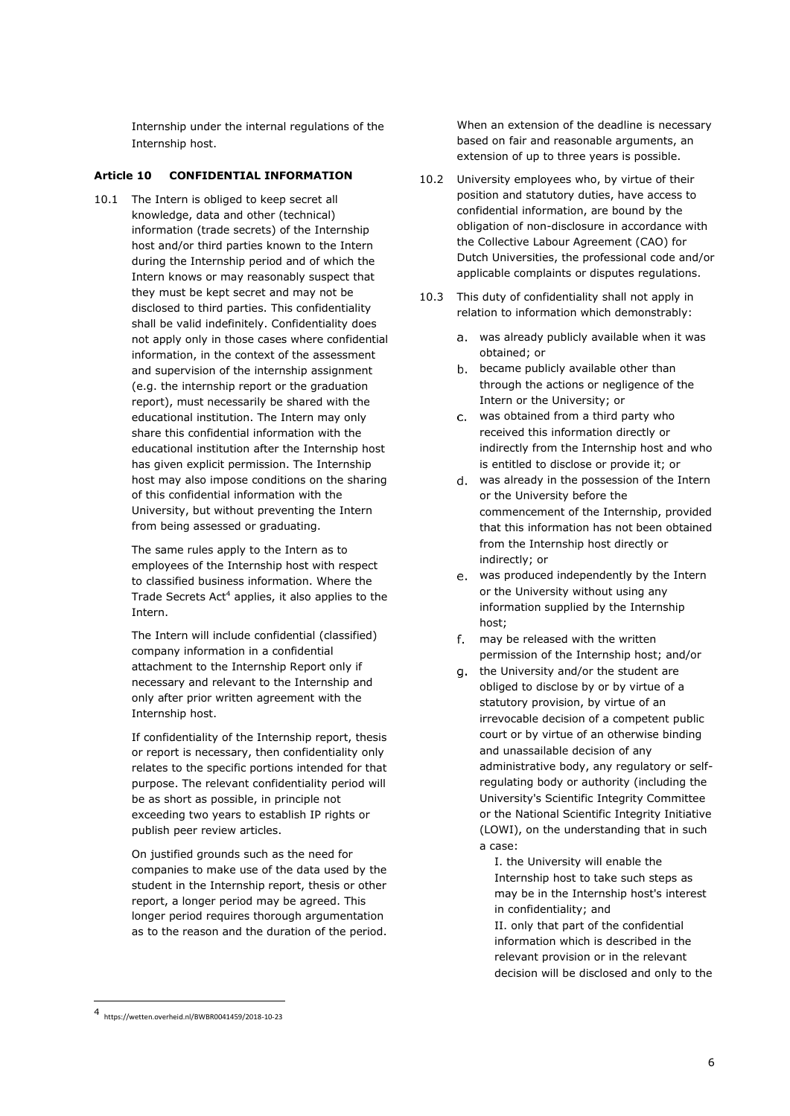Internship under the internal regulations of the Internship host.

#### **Article 10 CONFIDENTIAL INFORMATION**

10.1 The Intern is obliged to keep secret all knowledge, data and other (technical) information (trade secrets) of the Internship host and/or third parties known to the Intern during the Internship period and of which the Intern knows or may reasonably suspect that they must be kept secret and may not be disclosed to third parties. This confidentiality shall be valid indefinitely. Confidentiality does not apply only in those cases where confidential information, in the context of the assessment and supervision of the internship assignment (e.g. the internship report or the graduation report), must necessarily be shared with the educational institution. The Intern may only share this confidential information with the educational institution after the Internship host has given explicit permission. The Internship host may also impose conditions on the sharing of this confidential information with the University, but without preventing the Intern from being assessed or graduating.

> The same rules apply to the Intern as to employees of the Internship host with respect to classified business information. Where the Trade Secrets Act<sup>4</sup> applies, it also applies to the Intern.

The Intern will include confidential (classified) company information in a confidential attachment to the Internship Report only if necessary and relevant to the Internship and only after prior written agreement with the Internship host.

If confidentiality of the Internship report, thesis or report is necessary, then confidentiality only relates to the specific portions intended for that purpose. The relevant confidentiality period will be as short as possible, in principle not exceeding two years to establish IP rights or publish peer review articles.

On justified grounds such as the need for companies to make use of the data used by the student in the Internship report, thesis or other report, a longer period may be agreed. This longer period requires thorough argumentation as to the reason and the duration of the period. When an extension of the deadline is necessary based on fair and reasonable arguments, an extension of up to three years is possible.

- 10.2 University employees who, by virtue of their position and statutory duties, have access to confidential information, are bound by the obligation of non-disclosure in accordance with the Collective Labour Agreement (CAO) for Dutch Universities, the professional code and/or applicable complaints or disputes regulations.
- 10.3 This duty of confidentiality shall not apply in relation to information which demonstrably:
	- was already publicly available when it was obtained; or
	- b. became publicly available other than through the actions or negligence of the Intern or the University; or
	- was obtained from a third party who received this information directly or indirectly from the Internship host and who is entitled to disclose or provide it; or
	- was already in the possession of the Intern or the University before the commencement of the Internship, provided that this information has not been obtained from the Internship host directly or indirectly; or
	- was produced independently by the Intern or the University without using any information supplied by the Internship host;
	- f. may be released with the written permission of the Internship host; and/or
	- g. the University and/or the student are obliged to disclose by or by virtue of a statutory provision, by virtue of an irrevocable decision of a competent public court or by virtue of an otherwise binding and unassailable decision of any administrative body, any regulatory or selfregulating body or authority (including the University's Scientific Integrity Committee or the National Scientific Integrity Initiative (LOWI), on the understanding that in such a case:

I. the University will enable the Internship host to take such steps as may be in the Internship host's interest in confidentiality; and II. only that part of the confidential information which is described in the relevant provision or in the relevant

decision will be disclosed and only to the

<sup>4</sup> https://wetten.overheid.nl/BWBR0041459/2018-10-23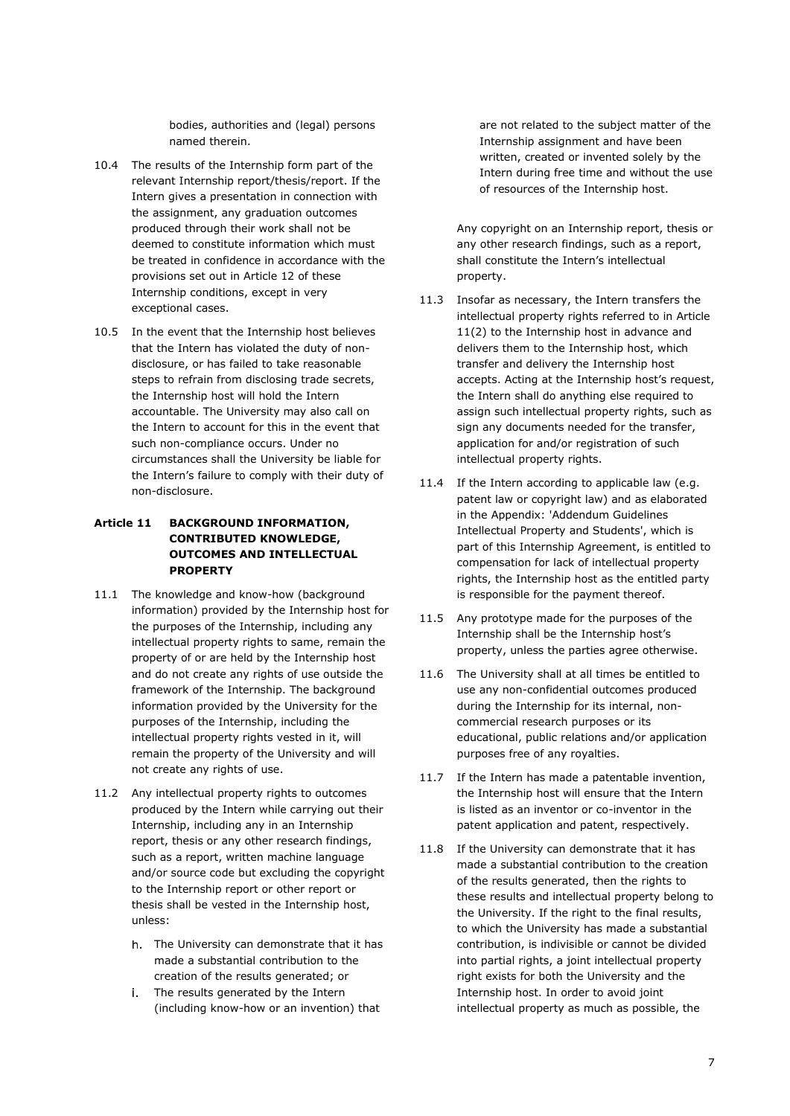bodies, authorities and (legal) persons named therein.

- 10.4 The results of the Internship form part of the relevant Internship report/thesis/report. If the Intern gives a presentation in connection with the assignment, any graduation outcomes produced through their work shall not be deemed to constitute information which must be treated in confidence in accordance with the provisions set out in Article 12 of these Internship conditions, except in very exceptional cases.
- 10.5 In the event that the Internship host believes that the Intern has violated the duty of nondisclosure, or has failed to take reasonable steps to refrain from disclosing trade secrets, the Internship host will hold the Intern accountable. The University may also call on the Intern to account for this in the event that such non-compliance occurs. Under no circumstances shall the University be liable for the Intern's failure to comply with their duty of non-disclosure.

# **Article 11 BACKGROUND INFORMATION, CONTRIBUTED KNOWLEDGE, OUTCOMES AND INTELLECTUAL PROPERTY**

- 11.1 The knowledge and know-how (background information) provided by the Internship host for the purposes of the Internship, including any intellectual property rights to same, remain the property of or are held by the Internship host and do not create any rights of use outside the framework of the Internship. The background information provided by the University for the purposes of the Internship, including the intellectual property rights vested in it, will remain the property of the University and will not create any rights of use.
- 11.2 Any intellectual property rights to outcomes produced by the Intern while carrying out their Internship, including any in an Internship report, thesis or any other research findings, such as a report, written machine language and/or source code but excluding the copyright to the Internship report or other report or thesis shall be vested in the Internship host, unless:
	- h. The University can demonstrate that it has made a substantial contribution to the creation of the results generated; or
	- j. The results generated by the Intern (including know-how or an invention) that

are not related to the subject matter of the Internship assignment and have been written, created or invented solely by the Intern during free time and without the use of resources of the Internship host.

Any copyright on an Internship report, thesis or any other research findings, such as a report, shall constitute the Intern's intellectual property.

- 11.3 Insofar as necessary, the Intern transfers the intellectual property rights referred to in Article 11(2) to the Internship host in advance and delivers them to the Internship host, which transfer and delivery the Internship host accepts. Acting at the Internship host's request, the Intern shall do anything else required to assign such intellectual property rights, such as sign any documents needed for the transfer, application for and/or registration of such intellectual property rights.
- 11.4 If the Intern according to applicable law (e.g. patent law or copyright law) and as elaborated in the Appendix: 'Addendum Guidelines Intellectual Property and Students', which is part of this Internship Agreement, is entitled to compensation for lack of intellectual property rights, the Internship host as the entitled party is responsible for the payment thereof.
- 11.5 Any prototype made for the purposes of the Internship shall be the Internship host's property, unless the parties agree otherwise.
- 11.6 The University shall at all times be entitled to use any non-confidential outcomes produced during the Internship for its internal, noncommercial research purposes or its educational, public relations and/or application purposes free of any royalties.
- 11.7 If the Intern has made a patentable invention, the Internship host will ensure that the Intern is listed as an inventor or co-inventor in the patent application and patent, respectively.
- 11.8 If the University can demonstrate that it has made a substantial contribution to the creation of the results generated, then the rights to these results and intellectual property belong to the University. If the right to the final results, to which the University has made a substantial contribution, is indivisible or cannot be divided into partial rights, a joint intellectual property right exists for both the University and the Internship host. In order to avoid joint intellectual property as much as possible, the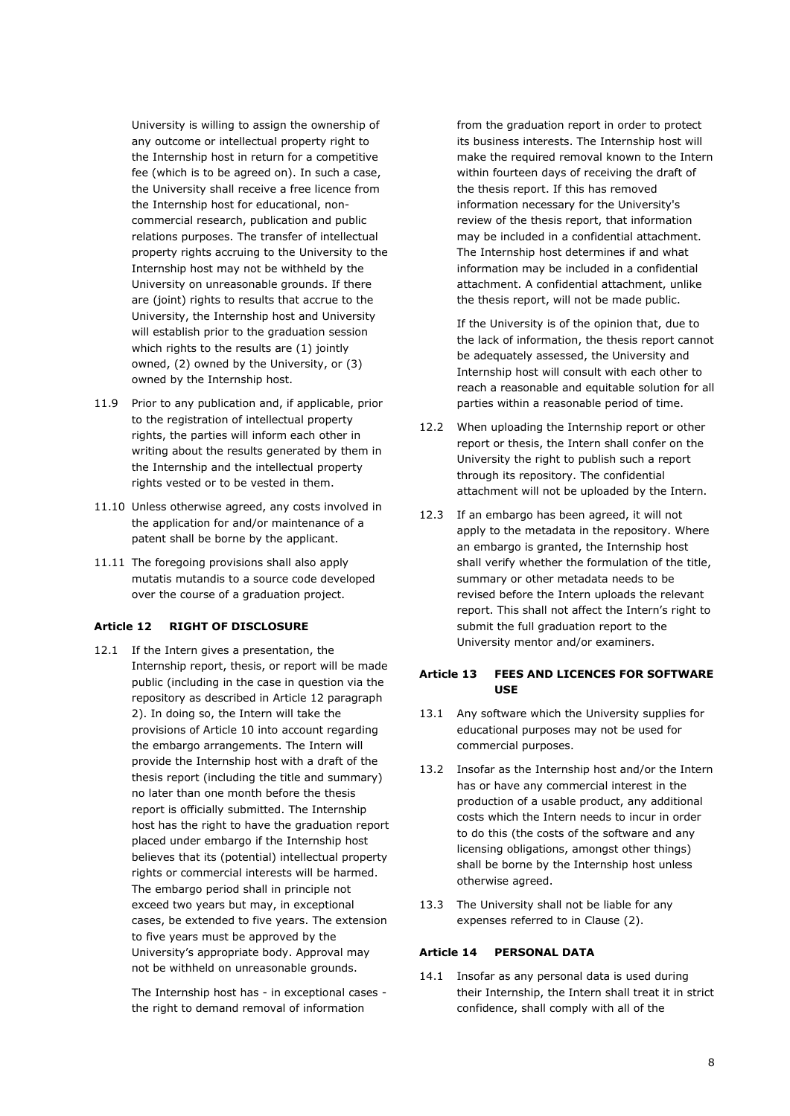University is willing to assign the ownership of any outcome or intellectual property right to the Internship host in return for a competitive fee (which is to be agreed on). In such a case, the University shall receive a free licence from the Internship host for educational, noncommercial research, publication and public relations purposes. The transfer of intellectual property rights accruing to the University to the Internship host may not be withheld by the University on unreasonable grounds. If there are (joint) rights to results that accrue to the University, the Internship host and University will establish prior to the graduation session which rights to the results are (1) jointly owned, (2) owned by the University, or (3) owned by the Internship host.

- 11.9 Prior to any publication and, if applicable, prior to the registration of intellectual property rights, the parties will inform each other in writing about the results generated by them in the Internship and the intellectual property rights vested or to be vested in them.
- 11.10 Unless otherwise agreed, any costs involved in the application for and/or maintenance of a patent shall be borne by the applicant.
- 11.11 The foregoing provisions shall also apply mutatis mutandis to a source code developed over the course of a graduation project.

#### **Article 12 RIGHT OF DISCLOSURE**

12.1 If the Intern gives a presentation, the Internship report, thesis, or report will be made public (including in the case in question via the repository as described in Article 12 paragraph 2). In doing so, the Intern will take the provisions of Article 10 into account regarding the embargo arrangements. The Intern will provide the Internship host with a draft of the thesis report (including the title and summary) no later than one month before the thesis report is officially submitted. The Internship host has the right to have the graduation report placed under embargo if the Internship host believes that its (potential) intellectual property rights or commercial interests will be harmed. The embargo period shall in principle not exceed two years but may, in exceptional cases, be extended to five years. The extension to five years must be approved by the University's appropriate body. Approval may not be withheld on unreasonable grounds.

> The Internship host has - in exceptional cases the right to demand removal of information

from the graduation report in order to protect its business interests. The Internship host will make the required removal known to the Intern within fourteen days of receiving the draft of the thesis report. If this has removed information necessary for the University's review of the thesis report, that information may be included in a confidential attachment. The Internship host determines if and what information may be included in a confidential attachment. A confidential attachment, unlike the thesis report, will not be made public.

If the University is of the opinion that, due to the lack of information, the thesis report cannot be adequately assessed, the University and Internship host will consult with each other to reach a reasonable and equitable solution for all parties within a reasonable period of time.

- 12.2 When uploading the Internship report or other report or thesis, the Intern shall confer on the University the right to publish such a report through its repository. The confidential attachment will not be uploaded by the Intern.
- 12.3 If an embargo has been agreed, it will not apply to the metadata in the repository. Where an embargo is granted, the Internship host shall verify whether the formulation of the title, summary or other metadata needs to be revised before the Intern uploads the relevant report. This shall not affect the Intern's right to submit the full graduation report to the University mentor and/or examiners.

#### **Article 13 FEES AND LICENCES FOR SOFTWARE USE**

- 13.1 Any software which the University supplies for educational purposes may not be used for commercial purposes.
- 13.2 Insofar as the Internship host and/or the Intern has or have any commercial interest in the production of a usable product, any additional costs which the Intern needs to incur in order to do this (the costs of the software and any licensing obligations, amongst other things) shall be borne by the Internship host unless otherwise agreed.
- 13.3 The University shall not be liable for any expenses referred to in Clause (2).

#### **Article 14 PERSONAL DATA**

14.1 Insofar as any personal data is used during their Internship, the Intern shall treat it in strict confidence, shall comply with all of the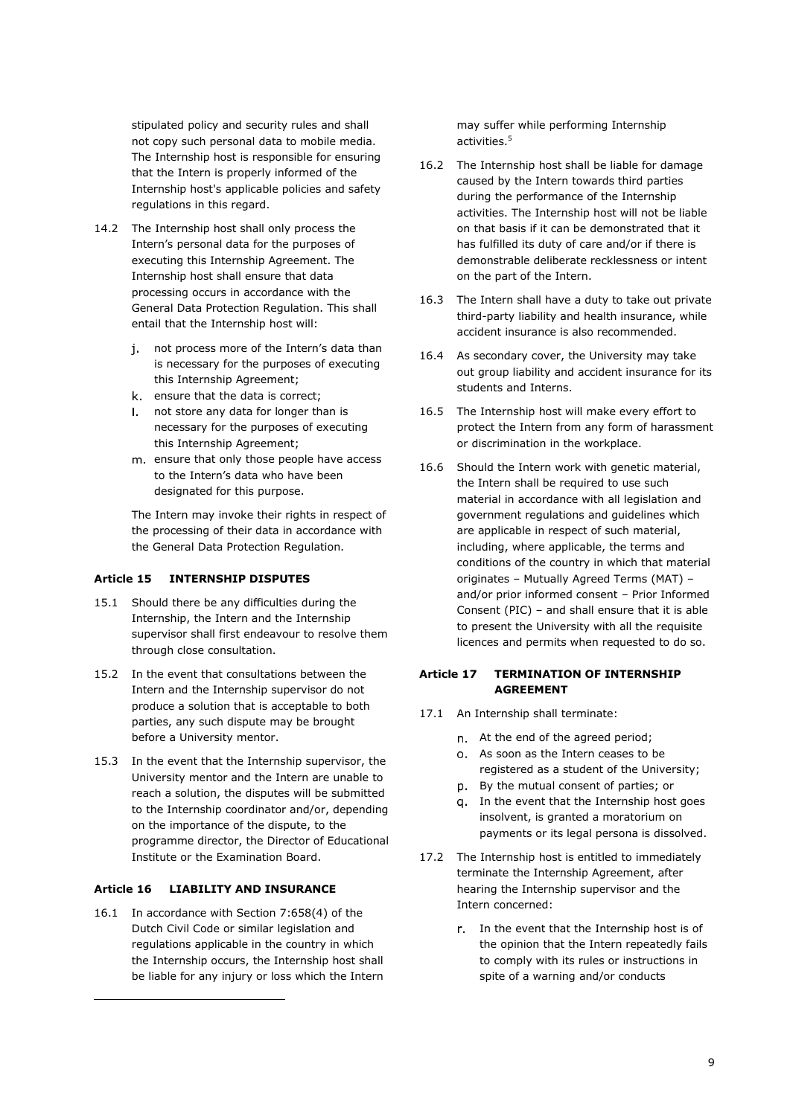stipulated policy and security rules and shall not copy such personal data to mobile media. The Internship host is responsible for ensuring that the Intern is properly informed of the Internship host's applicable policies and safety regulations in this regard.

- 14.2 The Internship host shall only process the Intern's personal data for the purposes of executing this Internship Agreement. The Internship host shall ensure that data processing occurs in accordance with the General Data Protection Regulation. This shall entail that the Internship host will:
	- j. not process more of the Intern's data than is necessary for the purposes of executing this Internship Agreement;
	- k. ensure that the data is correct;
	- I. not store any data for longer than is necessary for the purposes of executing this Internship Agreement;
	- m. ensure that only those people have access to the Intern's data who have been designated for this purpose.

The Intern may invoke their rights in respect of the processing of their data in accordance with the General Data Protection Regulation.

# **Article 15 INTERNSHIP DISPUTES**

- 15.1 Should there be any difficulties during the Internship, the Intern and the Internship supervisor shall first endeavour to resolve them through close consultation.
- 15.2 In the event that consultations between the Intern and the Internship supervisor do not produce a solution that is acceptable to both parties, any such dispute may be brought before a University mentor.
- 15.3 In the event that the Internship supervisor, the University mentor and the Intern are unable to reach a solution, the disputes will be submitted to the Internship coordinator and/or, depending on the importance of the dispute, to the programme director, the Director of Educational Institute or the Examination Board.

#### **Article 16 LIABILITY AND INSURANCE**

16.1 In accordance with Section 7:658(4) of the Dutch Civil Code or similar legislation and regulations applicable in the country in which the Internship occurs, the Internship host shall be liable for any injury or loss which the Intern

may suffer while performing Internship activities.<sup>5</sup>

- 16.2 The Internship host shall be liable for damage caused by the Intern towards third parties during the performance of the Internship activities. The Internship host will not be liable on that basis if it can be demonstrated that it has fulfilled its duty of care and/or if there is demonstrable deliberate recklessness or intent on the part of the Intern.
- 16.3 The Intern shall have a duty to take out private third-party liability and health insurance, while accident insurance is also recommended.
- 16.4 As secondary cover, the University may take out group liability and accident insurance for its students and Interns.
- 16.5 The Internship host will make every effort to protect the Intern from any form of harassment or discrimination in the workplace.
- 16.6 Should the Intern work with genetic material, the Intern shall be required to use such material in accordance with all legislation and government regulations and guidelines which are applicable in respect of such material, including, where applicable, the terms and conditions of the country in which that material originates – Mutually Agreed Terms (MAT) – and/or prior informed consent – Prior Informed Consent (PIC) – and shall ensure that it is able to present the University with all the requisite licences and permits when requested to do so.

## **Article 17 TERMINATION OF INTERNSHIP AGREEMENT**

- 17.1 An Internship shall terminate:
	- At the end of the agreed period;
	- As soon as the Intern ceases to be registered as a student of the University;
	- By the mutual consent of parties; or
	- q. In the event that the Internship host goes insolvent, is granted a moratorium on payments or its legal persona is dissolved.
- 17.2 The Internship host is entitled to immediately terminate the Internship Agreement, after hearing the Internship supervisor and the Intern concerned:
	- r. In the event that the Internship host is of the opinion that the Intern repeatedly fails to comply with its rules or instructions in spite of a warning and/or conducts